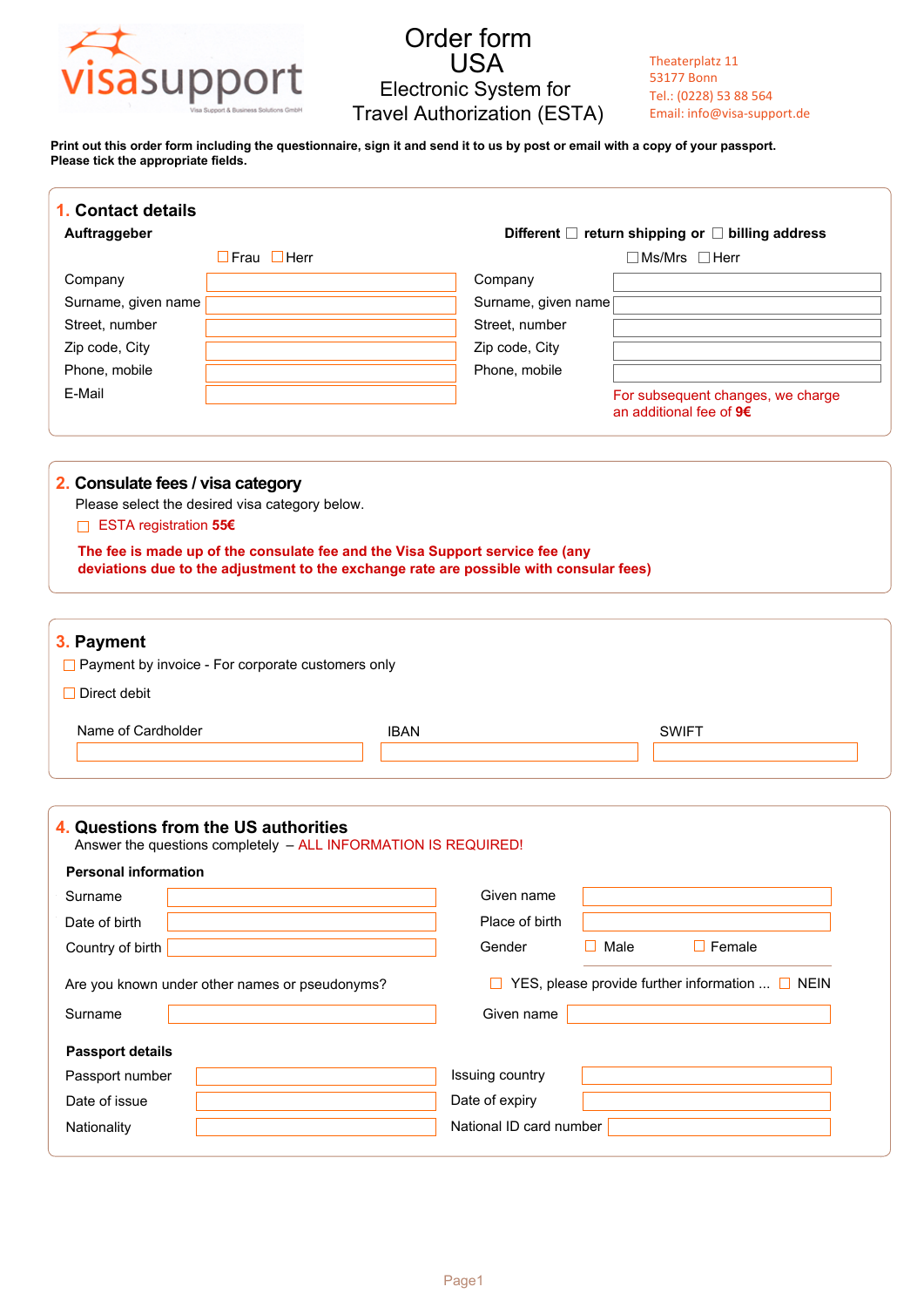

**Print out this order form including the questionnaire, sign it and send it to us by post or email with a copy of your passport. Please tick the appropriate fields.**

| 1. Contact details<br>Auftraggeber                           |                                                                                                                                                                                                                           |                 |                                                                               |      |                                                                |  |  |
|--------------------------------------------------------------|---------------------------------------------------------------------------------------------------------------------------------------------------------------------------------------------------------------------------|-----------------|-------------------------------------------------------------------------------|------|----------------------------------------------------------------|--|--|
|                                                              | $\Box$ Frau $\Box$ Herr                                                                                                                                                                                                   |                 | Different □ return shipping or □ billing address<br>$\Box$ Ms/Mrs $\Box$ Herr |      |                                                                |  |  |
| Company                                                      |                                                                                                                                                                                                                           |                 | Company                                                                       |      |                                                                |  |  |
| Surname, given name                                          |                                                                                                                                                                                                                           |                 | Surname, given name                                                           |      |                                                                |  |  |
| Street, number                                               |                                                                                                                                                                                                                           |                 | Street, number                                                                |      |                                                                |  |  |
| Zip code, City                                               |                                                                                                                                                                                                                           |                 | Zip code, City                                                                |      |                                                                |  |  |
| Phone, mobile                                                |                                                                                                                                                                                                                           |                 | Phone, mobile                                                                 |      |                                                                |  |  |
| E-Mail                                                       |                                                                                                                                                                                                                           |                 |                                                                               |      | For subsequent changes, we charge<br>an additional fee of $96$ |  |  |
| 2. Consulate fees / visa category<br>□ ESTA registration 55€ | Please select the desired visa category below.<br>The fee is made up of the consulate fee and the Visa Support service fee (any<br>deviations due to the adjustment to the exchange rate are possible with consular fees) |                 |                                                                               |      |                                                                |  |  |
| 3. Payment                                                   | $\Box$ Payment by invoice - For corporate customers only                                                                                                                                                                  |                 |                                                                               |      |                                                                |  |  |
| $\Box$ Direct debit<br>Name of Cardholder                    |                                                                                                                                                                                                                           | <b>IBAN</b>     |                                                                               |      | <b>SWIFT</b>                                                   |  |  |
| <b>Personal information</b>                                  | Answer the questions completely - ALL INFORMATION IS REQUIRED!                                                                                                                                                            |                 |                                                                               |      |                                                                |  |  |
| Surname                                                      |                                                                                                                                                                                                                           |                 | Given name                                                                    |      |                                                                |  |  |
|                                                              |                                                                                                                                                                                                                           |                 | Place of birth                                                                |      |                                                                |  |  |
| Date of birth<br>Country of birth                            |                                                                                                                                                                                                                           |                 | Gender                                                                        | Male | $\Box$ Female                                                  |  |  |
|                                                              | Are you known under other names or pseudonyms?                                                                                                                                                                            |                 | YES, please provide further information $\Box$ NEIN                           |      |                                                                |  |  |
| Surname                                                      |                                                                                                                                                                                                                           |                 | Given name                                                                    |      |                                                                |  |  |
| <b>Passport details</b>                                      |                                                                                                                                                                                                                           |                 |                                                                               |      |                                                                |  |  |
| Passport number                                              |                                                                                                                                                                                                                           | Issuing country |                                                                               |      |                                                                |  |  |
| 4. Questions from the US authorities<br>Date of issue        |                                                                                                                                                                                                                           | Date of expiry  |                                                                               |      |                                                                |  |  |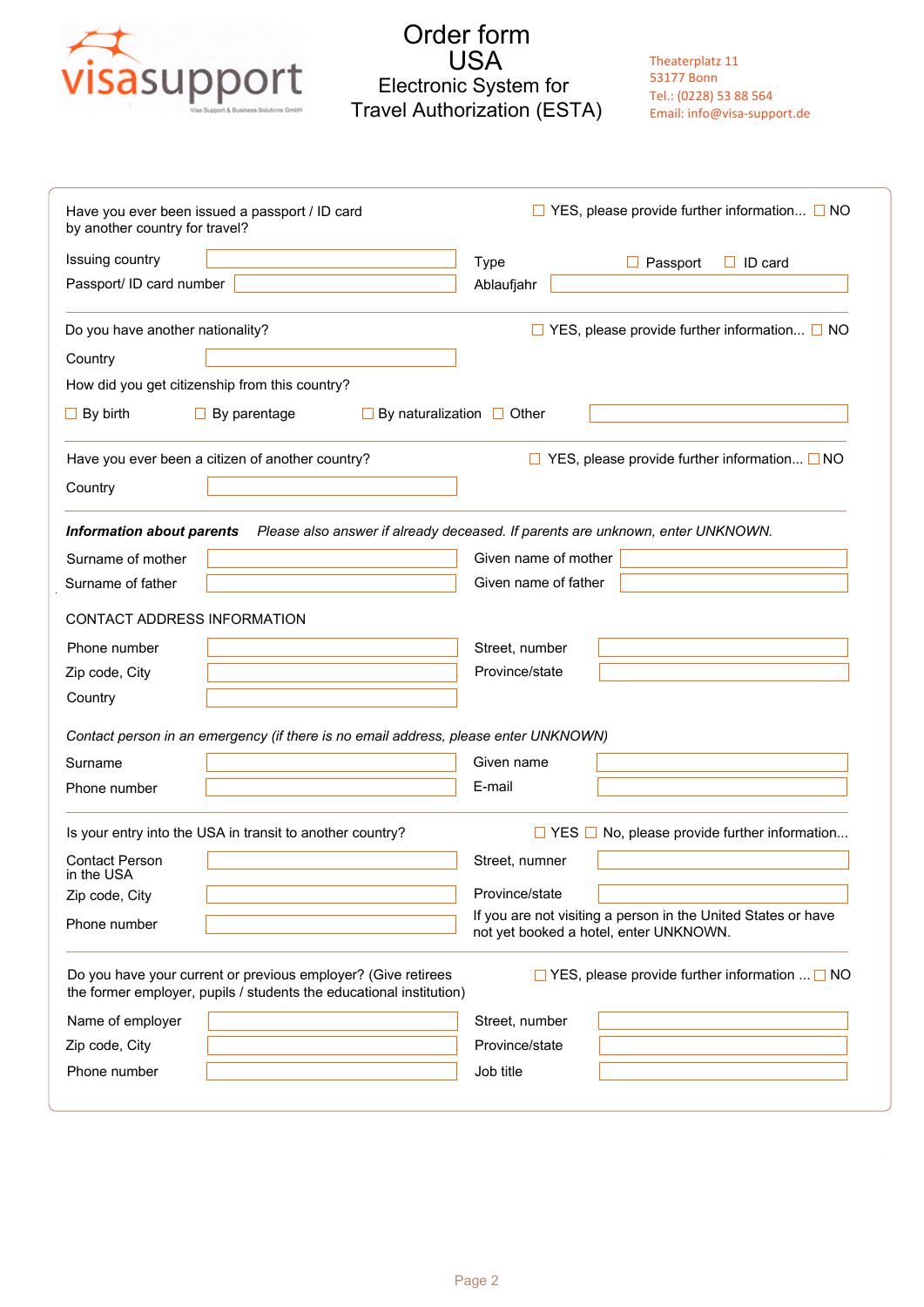

Theaterplatz 11 53177 Bonn Tel.: (0228) 53 88 564 Email: info@visa-support.de

| by another country for travel?      | Have you ever been issued a passport / ID card                                                                                       | $\Box$ YES, please provide further information $\Box$ NO                                                |  |  |  |  |  |
|-------------------------------------|--------------------------------------------------------------------------------------------------------------------------------------|---------------------------------------------------------------------------------------------------------|--|--|--|--|--|
| Issuing country                     |                                                                                                                                      | <b>Type</b><br>$\Box$ ID card<br>$\Box$ Passport                                                        |  |  |  |  |  |
| Passport/ ID card number            |                                                                                                                                      | Ablaufjahr                                                                                              |  |  |  |  |  |
| Do you have another nationality?    |                                                                                                                                      | $\Box$ YES, please provide further information $\Box$ NO                                                |  |  |  |  |  |
| Country                             |                                                                                                                                      |                                                                                                         |  |  |  |  |  |
|                                     | How did you get citizenship from this country?                                                                                       |                                                                                                         |  |  |  |  |  |
| $\Box$ By birth                     | $\Box$ By parentage                                                                                                                  | $\Box$ By naturalization $\Box$ Other                                                                   |  |  |  |  |  |
|                                     | Have you ever been a citizen of another country?                                                                                     | $\Box$ YES, please provide further information $\Box$ NO                                                |  |  |  |  |  |
| Country                             |                                                                                                                                      |                                                                                                         |  |  |  |  |  |
| <b>Information about parents</b>    |                                                                                                                                      | Please also answer if already deceased. If parents are unknown, enter UNKNOWN.                          |  |  |  |  |  |
| Surname of mother                   |                                                                                                                                      | Given name of mother                                                                                    |  |  |  |  |  |
| Surname of father                   |                                                                                                                                      | Given name of father                                                                                    |  |  |  |  |  |
|                                     |                                                                                                                                      |                                                                                                         |  |  |  |  |  |
|                                     | CONTACT ADDRESS INFORMATION                                                                                                          |                                                                                                         |  |  |  |  |  |
| Phone number                        |                                                                                                                                      | Street, number                                                                                          |  |  |  |  |  |
| Zip code, City                      |                                                                                                                                      | Province/state                                                                                          |  |  |  |  |  |
| Country                             |                                                                                                                                      |                                                                                                         |  |  |  |  |  |
|                                     | Contact person in an emergency (if there is no email address, please enter UNKNOWN)                                                  |                                                                                                         |  |  |  |  |  |
| Surname                             |                                                                                                                                      | Given name                                                                                              |  |  |  |  |  |
| Phone number                        |                                                                                                                                      | E-mail                                                                                                  |  |  |  |  |  |
|                                     | Is your entry into the USA in transit to another country?                                                                            | $\Box$ YES $\Box$ No, please provide further information                                                |  |  |  |  |  |
| <b>Contact Person</b><br>in the USA |                                                                                                                                      | Street, numner                                                                                          |  |  |  |  |  |
| Zip code, City                      |                                                                                                                                      | Province/state                                                                                          |  |  |  |  |  |
| Phone number                        |                                                                                                                                      | If you are not visiting a person in the United States or have<br>not yet booked a hotel, enter UNKNOWN. |  |  |  |  |  |
|                                     | Do you have your current or previous employer? (Give retirees<br>the former employer, pupils / students the educational institution) | $\Box$ YES, please provide further information $\Box$ NO                                                |  |  |  |  |  |
| Name of employer                    |                                                                                                                                      | Street, number                                                                                          |  |  |  |  |  |
| Zip code, City                      |                                                                                                                                      | Province/state                                                                                          |  |  |  |  |  |
|                                     |                                                                                                                                      | Job title                                                                                               |  |  |  |  |  |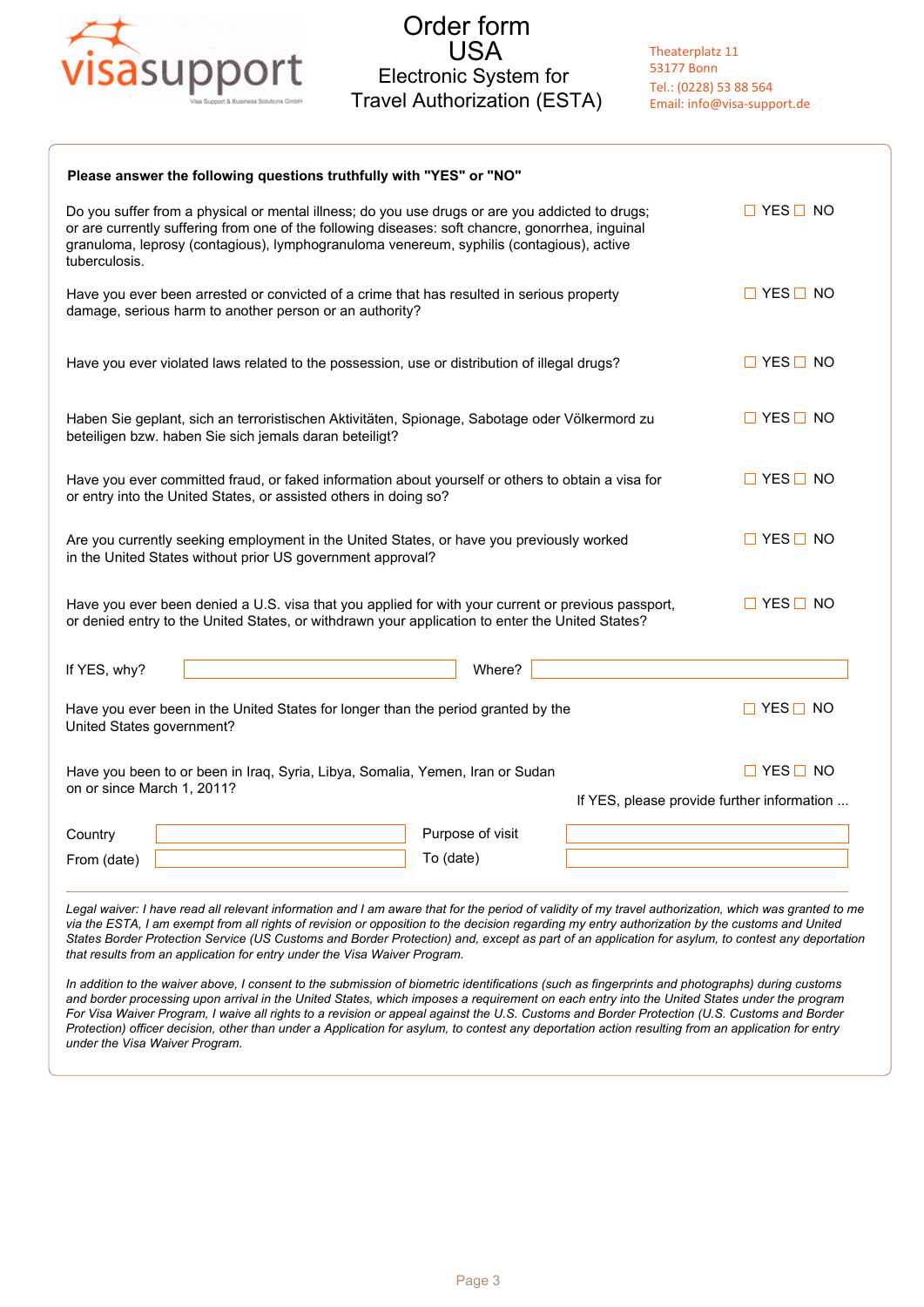

| Please answer the following questions truthfully with "YES" or "NO"                                                                                                                                                                                                                                              |                      |  |  |  |  |  |  |
|------------------------------------------------------------------------------------------------------------------------------------------------------------------------------------------------------------------------------------------------------------------------------------------------------------------|----------------------|--|--|--|--|--|--|
| Do you suffer from a physical or mental illness; do you use drugs or are you addicted to drugs;<br>or are currently suffering from one of the following diseases: soft chancre, gonorrhea, inguinal<br>granuloma, leprosy (contagious), lymphogranuloma venereum, syphilis (contagious), active<br>tuberculosis. | $\Box$ YES $\Box$ NO |  |  |  |  |  |  |
| Have you ever been arrested or convicted of a crime that has resulted in serious property<br>damage, serious harm to another person or an authority?                                                                                                                                                             | $\Box$ YES $\Box$ NO |  |  |  |  |  |  |
| Have you ever violated laws related to the possession, use or distribution of illegal drugs?                                                                                                                                                                                                                     | $\Box$ YES $\Box$ NO |  |  |  |  |  |  |
| Haben Sie geplant, sich an terroristischen Aktivitäten, Spionage, Sabotage oder Völkermord zu<br>beteiligen bzw. haben Sie sich jemals daran beteiligt?                                                                                                                                                          | $\Box$ YES $\Box$ NO |  |  |  |  |  |  |
| Have you ever committed fraud, or faked information about yourself or others to obtain a visa for<br>or entry into the United States, or assisted others in doing so?                                                                                                                                            | $\Box$ YES $\Box$ NO |  |  |  |  |  |  |
| Are you currently seeking employment in the United States, or have you previously worked<br>in the United States without prior US government approval?                                                                                                                                                           | $\Box$ YES $\Box$ NO |  |  |  |  |  |  |
| Have you ever been denied a U.S. visa that you applied for with your current or previous passport,<br>or denied entry to the United States, or withdrawn your application to enter the United States?                                                                                                            | $\Box$ YES $\Box$ NO |  |  |  |  |  |  |
| Where?<br>If YES, why?                                                                                                                                                                                                                                                                                           |                      |  |  |  |  |  |  |
| Have you ever been in the United States for longer than the period granted by the<br>United States government?                                                                                                                                                                                                   | $\Box$ YES $\Box$ NO |  |  |  |  |  |  |
| Have you been to or been in Iraq, Syria, Libya, Somalia, Yemen, Iran or Sudan<br>on or since March 1, 2011?                                                                                                                                                                                                      | $\Box$ YES $\Box$ NO |  |  |  |  |  |  |
| If YES, please provide further information                                                                                                                                                                                                                                                                       |                      |  |  |  |  |  |  |
| Purpose of visit<br>Country                                                                                                                                                                                                                                                                                      |                      |  |  |  |  |  |  |
| To (date)<br>From (date)                                                                                                                                                                                                                                                                                         |                      |  |  |  |  |  |  |

Legal waiver: I have read all relevant information and I am aware that for the period of validity of my travel authorization, which was granted to me *via the ESTA, I am exempt from all rights of revision or opposition to the decision regarding my entry authorization by the customs and United States Border Protection Service (US Customs and Border Protection) and, except as part of an application for asylum, to contest any deportation that results from an application for entry under the Visa Waiver Program.*

*In addition to the waiver above, I consent to the submission of biometric identifications (such as fingerprints and photographs) during customs and border processing upon arrival in the United States, which imposes a requirement on each entry into the United States under the program For Visa Waiver Program, I waive all rights to a revision or appeal against the U.S. Customs and Border Protection (U.S. Customs and Border Protection) officer decision, other than under a Application for asylum, to contest any deportation action resulting from an application for entry under the Visa Waiver Program.*